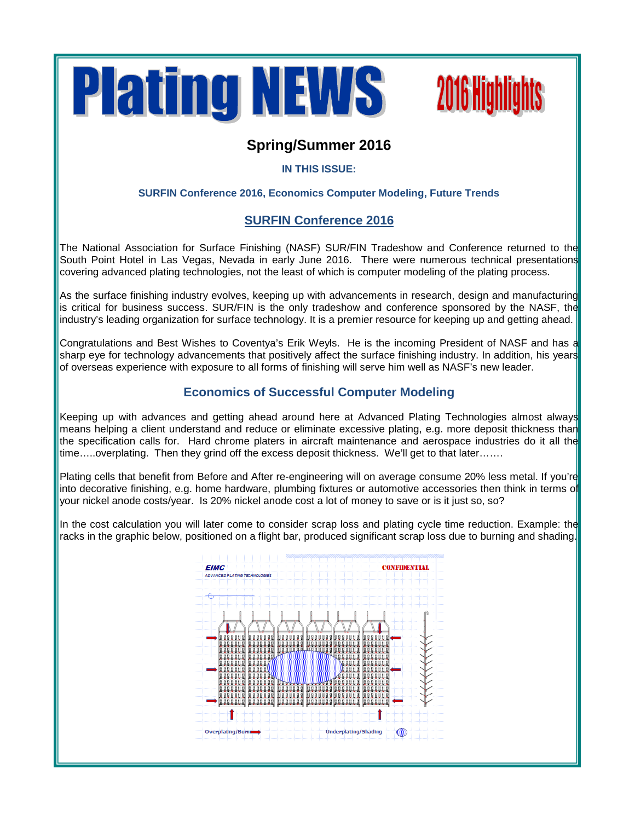



# **Spring/Summer 2016**

## **IN THIS ISSUE:**

## **SURFIN Conference 2016, Economics Computer Modeling, Future Trends**

# **SURFIN Conference 2016**

The National Association for Surface Finishing (NASF) SUR/FIN Tradeshow and Conference returned to the South Point Hotel in Las Vegas, Nevada in early June 2016. There were numerous technical presentations covering advanced plating technologies, not the least of which is computer modeling of the plating process.

As the surface finishing industry evolves, keeping up with advancements in research, design and manufacturing is critical for business success. SUR/FIN is the only tradeshow and conference sponsored by the NASF, the industry's leading organization for surface technology. It is a premier resource for keeping up and getting ahead.

Congratulations and Best Wishes to Coventya's Erik Weyls. He is the incoming President of NASF and has a sharp eye for technology advancements that positively affect the surface finishing industry. In addition, his years of overseas experience with exposure to all forms of finishing will serve him well as NASF's new leader.

## **Economics of Successful Computer Modeling**

Keeping up with advances and getting ahead around here at Advanced Plating Technologies almost always means helping a client understand and reduce or eliminate excessive plating, e.g. more deposit thickness than the specification calls for. Hard chrome platers in aircraft maintenance and aerospace industries do it all the time.....overplating. Then they grind off the excess deposit thickness. We'll get to that later.......

Plating cells that benefit from Before and After re-engineering will on average consume 20% less metal. If you're into decorative finishing, e.g. home hardware, plumbing fixtures or automotive accessories then think in terms of your nickel anode costs/year. Is 20% nickel anode cost a lot of money to save or is it just so, so?

In the cost calculation you will later come to consider scrap loss and plating cycle time reduction. Example: the racks in the graphic below, positioned on a flight bar, produced significant scrap loss due to burning and shading.

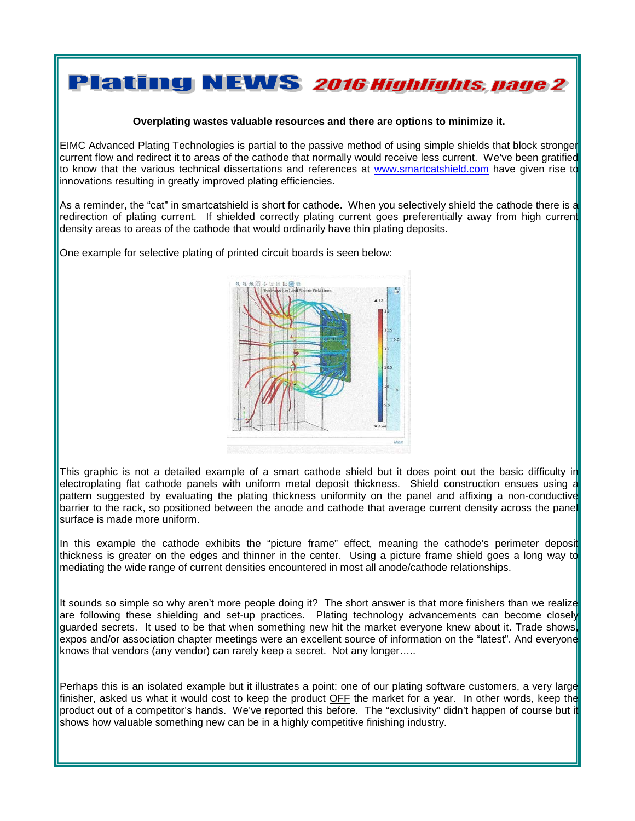# **Plating NEWS 2016 Highlights, page 2**

#### **Overplating wastes valuable resources and there are options to minimize it.**

EIMC Advanced Plating Technologies is partial to the passive method of using simple shields that block stronger current flow and redirect it to areas of the cathode that normally would receive less current. We've been gratified to know that the various technical dissertations and references at [www.smartcatshield.com](http://www.smartcatshield.com/) have given rise to innovations resulting in greatly improved plating efficiencies.

As a reminder, the "cat" in smartcatshield is short for cathode. When you selectively shield the cathode there is a redirection of plating current. If shielded correctly plating current goes preferentially away from high current density areas to areas of the cathode that would ordinarily have thin plating deposits.

One example for selective plating of printed circuit boards is seen below:



This graphic is not a detailed example of a smart cathode shield but it does point out the basic difficulty in electroplating flat cathode panels with uniform metal deposit thickness. Shield construction ensues using a pattern suggested by evaluating the plating thickness uniformity on the panel and affixing a non-conductive barrier to the rack, so positioned between the anode and cathode that average current density across the panel surface is made more uniform.

In this example the cathode exhibits the "picture frame" effect, meaning the cathode's perimeter deposited thickness is greater on the edges and thinner in the center. Using a picture frame shield goes a long way to mediating the wide range of current densities encountered in most all anode/cathode relationships.

It sounds so simple so why aren't more people doing it? The short answer is that more finishers than we realize are following these shielding and set-up practices. Plating technology advancements can become closely guarded secrets. It used to be that when something new hit the market everyone knew about it. Trade shows expos and/or association chapter meetings were an excellent source of information on the "latest". And everyone knows that vendors (any vendor) can rarely keep a secret. Not any longer…..

Perhaps this is an isolated example but it illustrates a point: one of our plating software customers, a very large finisher, asked us what it would cost to keep the product OFF the market for a year. In other words, keep the product out of a competitor's hands. We've reported this before. The "exclusivity" didn't happen of course but it shows how valuable something new can be in a highly competitive finishing industry.